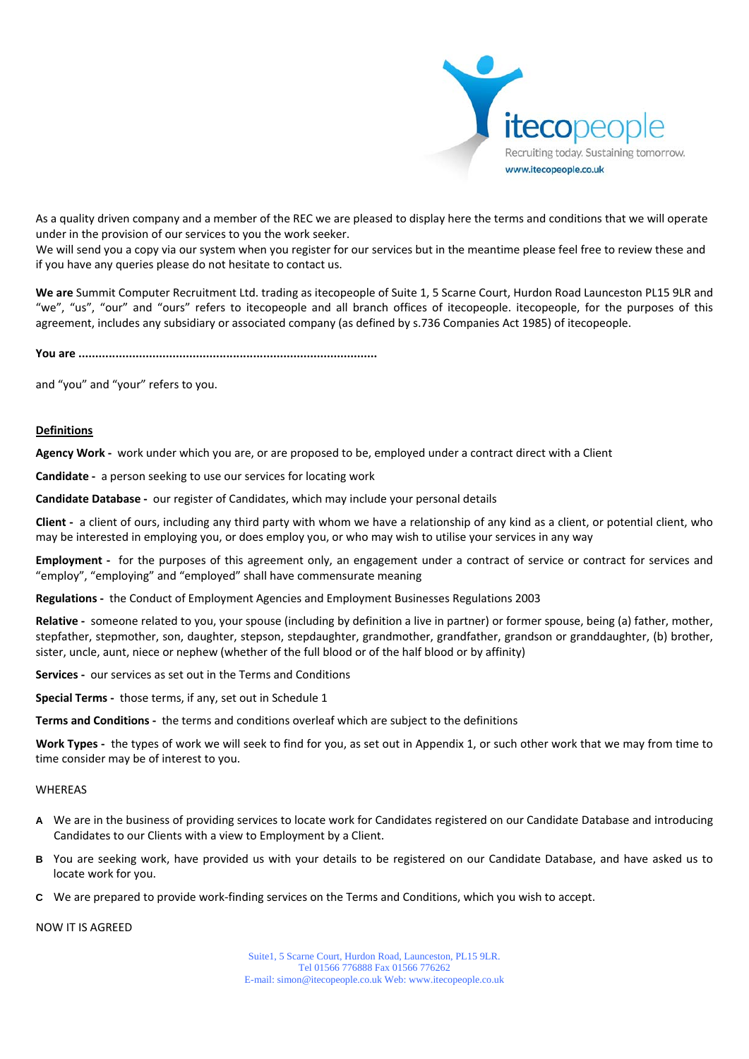

As a quality driven company and a member of the REC we are pleased to display here the terms and conditions that we will operate under in the provision of our services to you the work seeker.

We will send you a copy via our system when you register for our services but in the meantime please feel free to review these and if you have any queries please do not hesitate to contact us.

**We are** Summit Computer Recruitment Ltd. trading as itecopeople of Suite 1, 5 Scarne Court, Hurdon Road Launceston PL15 9LR and "we", "us", "our" and "ours" refers to itecopeople and all branch offices of itecopeople. itecopeople, for the purposes of this agreement, includes any subsidiary or associated company (as defined by s.736 Companies Act 1985) of itecopeople.

**You are .........................................................................................**

and "you" and "your" refers to you.

## **Definitions**

**Agency Work ‐** work under which you are, or are proposed to be, employed under a contract direct with a Client

**Candidate ‐** a person seeking to use our services for locating work

**Candidate Database ‐** our register of Candidates, which may include your personal details

**Client** - a client of ours, including any third party with whom we have a relationship of any kind as a client, or potential client, who may be interested in employing you, or does employ you, or who may wish to utilise your services in any way

**Employment** - for the purposes of this agreement only, an engagement under a contract of service or contract for services and "employ", "employing" and "employed" shall have commensurate meaning

**Regulations ‐** the Conduct of Employment Agencies and Employment Businesses Regulations 2003

Relative - someone related to you, your spouse (including by definition a live in partner) or former spouse, being (a) father, mother, stepfather, stepmother, son, daughter, stepson, stepdaughter, grandmother, grandfather, grandson or granddaughter, (b) brother, sister, uncle, aunt, niece or nephew (whether of the full blood or of the half blood or by affinity)

**Services** - our services as set out in the Terms and Conditions

**Special Terms ‐** those terms, if any, set out in Schedule 1

**Terms and Conditions ‐** the terms and conditions overleaf which are subject to the definitions

**Work Types ‐** the types of work we will seek to find for you, as set out in Appendix 1, or such other work that we may from time to time consider may be of interest to you.

## WHEREAS

- **A** We are in the business of providing services to locate work for Candidates registered on our Candidate Database and introducing Candidates to our Clients with a view to Employment by a Client.
- **B** You are seeking work, have provided us with your details to be registered on our Candidate Database, and have asked us to locate work for you.
- **C** We are prepared to provide work‐finding services on the Terms and Conditions, which you wish to accept.

NOW IT IS AGREED